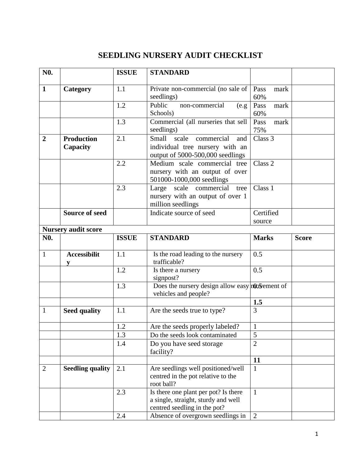## **SEEDLING NURSERY AUDIT CHECKLIST**

| N <sub>0</sub> . |                               | <b>ISSUE</b> | <b>STANDARD</b>                                                                                             |                     |              |
|------------------|-------------------------------|--------------|-------------------------------------------------------------------------------------------------------------|---------------------|--------------|
| $\mathbf{1}$     | Category                      | 1.1          | Private non-commercial (no sale of<br>seedlings)                                                            | Pass<br>mark<br>60% |              |
|                  |                               | 1.2          | Public<br>non-commercial<br>(e.g.<br>Schools)                                                               | Pass<br>mark<br>60% |              |
|                  |                               | 1.3          | Commercial (all nurseries that sell<br>seedlings)                                                           | Pass<br>mark<br>75% |              |
| $\overline{2}$   | <b>Production</b><br>Capacity | 2.1          | Small<br>scale<br>commercial<br>and<br>individual tree nursery with an<br>output of 5000-500,000 seedlings  | Class 3             |              |
|                  |                               | 2.2          | Medium scale commercial tree<br>nursery with an output of over<br>501000-1000,000 seedlings                 | Class <sub>2</sub>  |              |
|                  |                               | 2.3          | scale<br>commercial<br>Large<br>tree<br>nursery with an output of over 1<br>million seedlings               | Class 1             |              |
|                  | <b>Source of seed</b>         |              | Indicate source of seed                                                                                     | Certified<br>source |              |
|                  | <b>Nursery audit score</b>    |              |                                                                                                             |                     |              |
| N <sub>0</sub> . |                               | <b>ISSUE</b> | <b>STANDARD</b>                                                                                             | <b>Marks</b>        | <b>Score</b> |
| $\mathbf{1}$     | <b>Accessibilit</b><br>V      | 1.1          | Is the road leading to the nursery<br>trafficable?                                                          | 0.5                 |              |
|                  |                               | 1.2          | Is there a nursery<br>signpost?                                                                             | 0.5                 |              |
|                  |                               | 1.3          | Does the nursery design allow easy not be ment of<br>vehicles and people?                                   |                     |              |
|                  |                               |              |                                                                                                             | 1.5                 |              |
| $\mathbf{1}$     | <b>Seed quality</b>           | 1.1          | Are the seeds true to type?                                                                                 | 3                   |              |
|                  |                               | 1.2          | Are the seeds properly labeled?                                                                             | $\mathbf{1}$        |              |
|                  |                               | 1.3          | Do the seeds look contaminated                                                                              | 5                   |              |
|                  |                               | 1.4          | Do you have seed storage<br>facility?                                                                       | $\overline{2}$      |              |
|                  |                               |              |                                                                                                             | 11                  |              |
| $\overline{2}$   | <b>Seedling quality</b>       | 2.1          | Are seedlings well positioned/well<br>centred in the pot relative to the<br>root ball?                      | $\mathbf{1}$        |              |
|                  |                               | 2.3          | Is there one plant per pot? Is there<br>a single, straight, sturdy and well<br>centred seedling in the pot? | $\mathbf{1}$        |              |
|                  |                               | 2.4          | Absence of overgrown seedlings in                                                                           | $\overline{2}$      |              |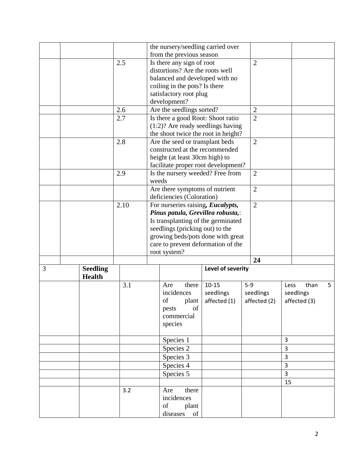|   |                                  |      | the nursery/seedling carried over    |                   |                |                |              |   |
|---|----------------------------------|------|--------------------------------------|-------------------|----------------|----------------|--------------|---|
|   |                                  |      | from the previous season             |                   |                |                |              |   |
|   |                                  | 2.5  | Is there any sign of root            |                   | $\overline{2}$ |                |              |   |
|   |                                  |      | distortions? Are the roots well      |                   |                |                |              |   |
|   |                                  |      | balanced and developed with no       |                   |                |                |              |   |
|   |                                  |      | coiling in the pots? Is there        |                   |                |                |              |   |
|   |                                  |      | satisfactory root plug               |                   |                |                |              |   |
|   |                                  |      | development?                         |                   |                |                |              |   |
|   |                                  | 2.6  | Are the seedlings sorted?            |                   | $\overline{2}$ |                |              |   |
|   |                                  | 2.7  | Is there a good Root: Shoot ratio    |                   | $\overline{2}$ |                |              |   |
|   |                                  |      | $(1:2)$ ? Are ready seedlings having |                   |                |                |              |   |
|   |                                  |      | the shoot twice the root in height?  |                   |                |                |              |   |
|   |                                  | 2.8  | Are the seed or transplant beds      |                   | $\overline{2}$ |                |              |   |
|   |                                  |      | constructed at the recommended       |                   |                |                |              |   |
|   |                                  |      | height (at least 30cm high) to       |                   |                |                |              |   |
|   |                                  |      | facilitate proper root development?  |                   |                |                |              |   |
|   |                                  | 2.9  | Is the nursery weeded? Free from     |                   | $\overline{2}$ |                |              |   |
|   |                                  |      | weeds                                |                   |                |                |              |   |
|   |                                  |      | Are there symptoms of nutrient       |                   | $\overline{2}$ |                |              |   |
|   |                                  |      | deficiencies (Coloration)            |                   |                |                |              |   |
|   |                                  | 2.10 | For nurseries raising, Eucalypts,    |                   | $\overline{2}$ |                |              |   |
|   |                                  |      | Pinus patula, Grevillea robusta,:    |                   |                |                |              |   |
|   |                                  |      | Is transplanting of the germinated   |                   |                |                |              |   |
|   |                                  |      | seedlings (pricking out) to the      |                   |                |                |              |   |
|   |                                  |      | growing beds/pots done with great    |                   |                |                |              |   |
|   |                                  |      | care to prevent deformation of the   |                   |                |                |              |   |
|   |                                  |      | root system?                         |                   |                |                |              |   |
|   |                                  |      |                                      |                   | 24             |                |              |   |
| 3 | <b>Seedling</b><br><b>Health</b> |      |                                      | Level of severity |                |                |              |   |
|   |                                  | 3.1  | there<br>Are                         | $10 - 15$         | $5-9$          | Less           | than         | 5 |
|   |                                  |      | incidences                           | seedlings         | seedlings      |                | seedlings    |   |
|   |                                  |      | of<br>plant                          | affected (1)      | affected (2)   |                | affected (3) |   |
|   |                                  |      | pests<br>of                          |                   |                |                |              |   |
|   |                                  |      | commercial                           |                   |                |                |              |   |
|   |                                  |      | species                              |                   |                |                |              |   |
|   |                                  |      |                                      |                   |                |                |              |   |
|   |                                  |      | Species 1                            |                   |                | 3              |              |   |
|   |                                  |      | Species 2                            |                   |                | $\overline{3}$ |              |   |
|   |                                  |      | Species 3                            |                   |                | $\overline{3}$ |              |   |
|   |                                  |      | Species 4                            |                   |                | 3              |              |   |
|   |                                  |      | Species 5                            |                   |                | $\overline{3}$ |              |   |
|   |                                  |      |                                      |                   |                | 15             |              |   |
|   |                                  | 3.2  | there<br>Are                         |                   |                |                |              |   |
|   |                                  |      | incidences                           |                   |                |                |              |   |
|   |                                  |      | of<br>plant                          |                   |                |                |              |   |
|   |                                  |      | diseases<br>of                       |                   |                |                |              |   |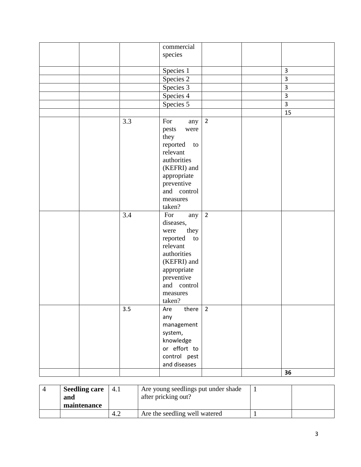|  |     | commercial                 |                |                         |
|--|-----|----------------------------|----------------|-------------------------|
|  |     | species                    |                |                         |
|  |     |                            |                |                         |
|  |     | Species 1                  |                | 3                       |
|  |     | Species 2                  |                | 3                       |
|  |     | Species 3                  |                | 3                       |
|  |     | Species 4                  |                | $\overline{\mathbf{3}}$ |
|  |     | Species 5                  |                | 3                       |
|  |     |                            |                | 15                      |
|  | 3.3 | For<br>any                 | $\overline{2}$ |                         |
|  |     | pests<br>were              |                |                         |
|  |     | they                       |                |                         |
|  |     | reported<br>to             |                |                         |
|  |     | relevant                   |                |                         |
|  |     | authorities                |                |                         |
|  |     | (KEFRI) and                |                |                         |
|  |     | appropriate                |                |                         |
|  |     | preventive                 |                |                         |
|  |     | and control                |                |                         |
|  |     | measures                   |                |                         |
|  |     | taken?                     |                |                         |
|  | 3.4 | For<br>any                 | $\overline{2}$ |                         |
|  |     | diseases,                  |                |                         |
|  |     | they<br>were               |                |                         |
|  |     | reported<br>to<br>relevant |                |                         |
|  |     | authorities                |                |                         |
|  |     | (KEFRI) and                |                |                         |
|  |     | appropriate                |                |                         |
|  |     | preventive                 |                |                         |
|  |     | and control                |                |                         |
|  |     | measures                   |                |                         |
|  |     | taken?                     |                |                         |
|  | 3.5 | there<br>Are               | $\overline{2}$ |                         |
|  |     | any                        |                |                         |
|  |     | management                 |                |                         |
|  |     | system,                    |                |                         |
|  |     | knowledge                  |                |                         |
|  |     | or effort to               |                |                         |
|  |     | control pest               |                |                         |
|  |     | and diseases               |                |                         |
|  |     |                            |                | 36                      |

| <b>Seedling care</b><br>4.1 |     | Are young seedlings put under shade |  |
|-----------------------------|-----|-------------------------------------|--|
| and<br>maintenance          |     | after pricking out?                 |  |
|                             | 4.2 | Are the seedling well watered       |  |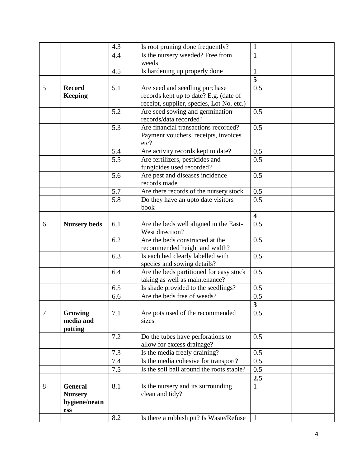|                |                                 | 4.3 | Is root pruning done frequently?                                       | $\mathbf{1}$            |
|----------------|---------------------------------|-----|------------------------------------------------------------------------|-------------------------|
|                |                                 | 4.4 | Is the nursery weeded? Free from                                       | $\mathbf{1}$            |
|                |                                 |     | weeds                                                                  |                         |
|                |                                 | 4.5 | Is hardening up properly done                                          | 1                       |
|                |                                 |     |                                                                        | $\overline{\mathbf{5}}$ |
| 5              | <b>Record</b>                   | 5.1 | Are seed and seedling purchase                                         | 0.5                     |
|                | <b>Keeping</b>                  |     | records kept up to date? E.g. (date of                                 |                         |
|                |                                 |     | receipt, supplier, species, Lot No. etc.)                              |                         |
|                |                                 | 5.2 | Are seed sowing and germination<br>records/data recorded?              | 0.5                     |
|                |                                 | 5.3 | Are financial transactions recorded?                                   | 0.5                     |
|                |                                 |     | Payment vouchers, receipts, invoices<br>etc?                           |                         |
|                |                                 | 5.4 | Are activity records kept to date?                                     | 0.5                     |
|                |                                 | 5.5 | Are fertilizers, pesticides and                                        | 0.5                     |
|                |                                 |     | fungicides used recorded?                                              |                         |
|                |                                 | 5.6 | Are pest and diseases incidence<br>records made                        | 0.5                     |
|                |                                 | 5.7 | Are there records of the nursery stock                                 | 0.5                     |
|                |                                 | 5.8 | Do they have an upto date visitors<br>book                             | 0.5                     |
|                |                                 |     |                                                                        | $\overline{\mathbf{4}}$ |
| 6              | <b>Nursery beds</b>             | 6.1 | Are the beds well aligned in the East-<br>West direction?              | 0.5                     |
|                |                                 | 6.2 | Are the beds constructed at the<br>recommended height and width?       | 0.5                     |
|                |                                 | 6.3 | Is each bed clearly labelled with                                      | 0.5                     |
|                |                                 | 6.4 | species and sowing details?<br>Are the beds partitioned for easy stock | 0.5                     |
|                |                                 |     | taking as well as maintenance?                                         |                         |
|                |                                 | 6.5 | Is shade provided to the seedlings?                                    | 0.5                     |
|                |                                 | 6.6 | Are the beds free of weeds?                                            | 0.5                     |
|                |                                 |     |                                                                        | $\overline{\mathbf{3}}$ |
| $\overline{7}$ | Growing<br>media and<br>potting | 7.1 | Are pots used of the recommended<br>sizes                              | 0.5                     |
|                |                                 | 7.2 | Do the tubes have perforations to<br>allow for excess drainage?        | 0.5                     |
|                |                                 | 7.3 | Is the media freely draining?                                          | 0.5                     |
|                |                                 | 7.4 | Is the media cohesive for transport?                                   | 0.5                     |
|                |                                 | 7.5 | Is the soil ball around the roots stable?                              | 0.5                     |
|                |                                 |     |                                                                        | 2.5                     |
| 8              | <b>General</b>                  | 8.1 | Is the nursery and its surrounding                                     | $\mathbf{1}$            |
|                | <b>Nursery</b>                  |     | clean and tidy?                                                        |                         |
|                | hygiene/neatn                   |     |                                                                        |                         |
|                | ess                             |     |                                                                        |                         |
|                |                                 | 8.2 | Is there a rubbish pit? Is Waste/Refuse                                |                         |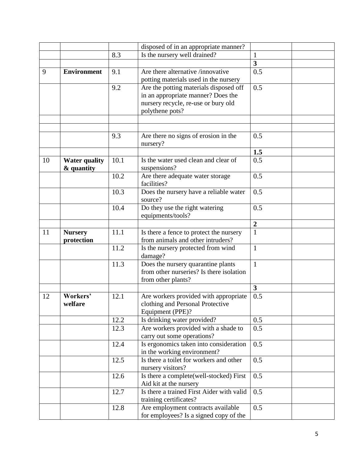|    |                      |      | disposed of in an appropriate manner?                                     |                         |
|----|----------------------|------|---------------------------------------------------------------------------|-------------------------|
|    |                      | 8.3  | Is the nursery well drained?                                              | $\mathbf{1}$            |
|    |                      |      |                                                                           | $\overline{\mathbf{3}}$ |
| 9  | <b>Environment</b>   | 9.1  | Are there alternative /innovative                                         | 0.5                     |
|    |                      |      | potting materials used in the nursery                                     |                         |
|    |                      | 9.2  | Are the potting materials disposed off                                    | 0.5                     |
|    |                      |      | in an appropriate manner? Does the                                        |                         |
|    |                      |      | nursery recycle, re-use or bury old                                       |                         |
|    |                      |      | polythene pots?                                                           |                         |
|    |                      |      |                                                                           |                         |
|    |                      |      |                                                                           |                         |
|    |                      | 9.3  | Are there no signs of erosion in the                                      | 0.5                     |
|    |                      |      | nursery?                                                                  |                         |
|    |                      |      |                                                                           | 1.5                     |
| 10 | <b>Water quality</b> | 10.1 | Is the water used clean and clear of                                      | 0.5                     |
|    | & quantity           |      | suspensions?                                                              |                         |
|    |                      | 10.2 | Are there adequate water storage                                          | 0.5                     |
|    |                      |      | facilities?                                                               |                         |
|    |                      | 10.3 | Does the nursery have a reliable water                                    | 0.5                     |
|    |                      |      | source?                                                                   |                         |
|    |                      | 10.4 | Do they use the right watering                                            | 0.5                     |
|    |                      |      | equipments/tools?                                                         |                         |
|    |                      |      |                                                                           | $\boldsymbol{2}$        |
| 11 | <b>Nursery</b>       | 11.1 | Is there a fence to protect the nursery                                   | $\mathbf{1}$            |
|    | protection           |      | from animals and other intruders?                                         |                         |
|    |                      | 11.2 | Is the nursery protected from wind                                        | $\mathbf{1}$            |
|    |                      |      | damage?                                                                   |                         |
|    |                      | 11.3 | Does the nursery quarantine plants                                        | $\mathbf{1}$            |
|    |                      |      | from other nurseries? Is there isolation                                  |                         |
|    |                      |      | from other plants?                                                        | $\mathbf{3}$            |
|    | Workers'             |      |                                                                           |                         |
| 12 | welfare              | 12.1 | Are workers provided with appropriate<br>clothing and Personal Protective | 0.5                     |
|    |                      |      | Equipment (PPE)?                                                          |                         |
|    |                      | 12.2 | Is drinking water provided?                                               | 0.5                     |
|    |                      | 12.3 | Are workers provided with a shade to                                      | 0.5                     |
|    |                      |      | carry out some operations?                                                |                         |
|    |                      | 12.4 | Is ergonomics taken into consideration                                    | 0.5                     |
|    |                      |      | in the working environment?                                               |                         |
|    |                      | 12.5 | Is there a toilet for workers and other                                   | 0.5                     |
|    |                      |      | nursery visitors?                                                         |                         |
|    |                      | 12.6 | Is there a complete(well-stocked) First                                   | 0.5                     |
|    |                      |      | Aid kit at the nursery                                                    |                         |
|    |                      | 12.7 | Is there a trained First Aider with valid                                 | 0.5                     |
|    |                      |      | training certificates?                                                    |                         |
|    |                      | 12.8 | Are employment contracts available                                        | 0.5                     |
|    |                      |      | for employees? Is a signed copy of the                                    |                         |